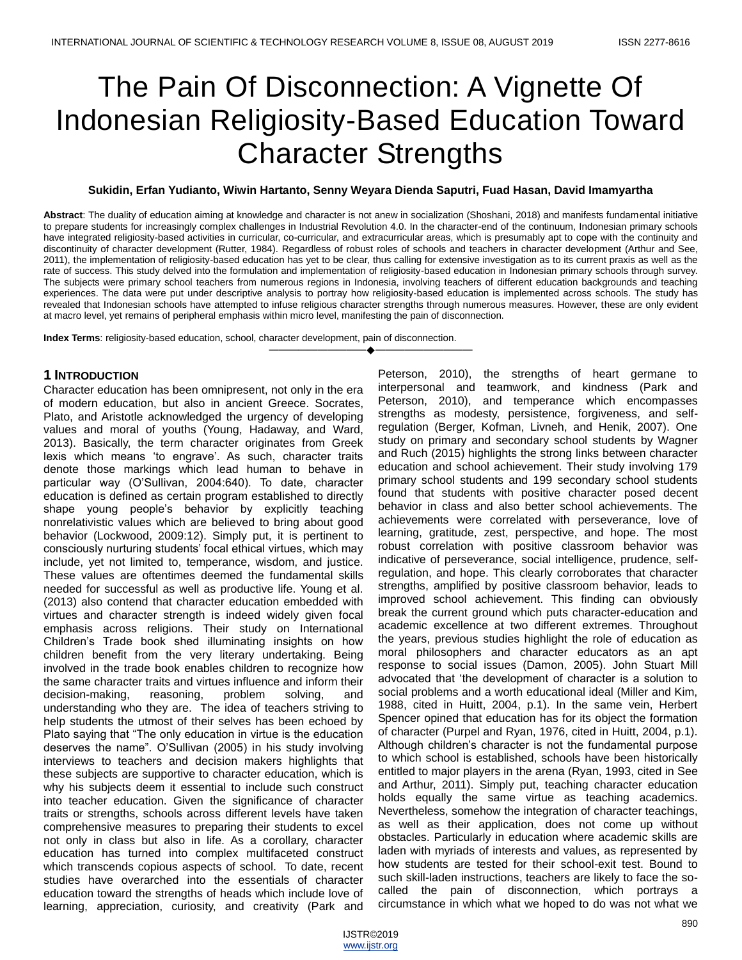# The Pain Of Disconnection: A Vignette Of Indonesian Religiosity-Based Education Toward Character Strengths

### **Sukidin, Erfan Yudianto, Wiwin Hartanto, Senny Weyara Dienda Saputri, Fuad Hasan, David Imamyartha**

**Abstract**: The duality of education aiming at knowledge and character is not anew in socialization (Shoshani, 2018) and manifests fundamental initiative to prepare students for increasingly complex challenges in Industrial Revolution 4.0. In the character-end of the continuum, Indonesian primary schools have integrated religiosity-based activities in curricular, co-curricular, and extracurricular areas, which is presumably apt to cope with the continuity and discontinuity of character development (Rutter, 1984). Regardless of robust roles of schools and teachers in character development (Arthur and See, 2011), the implementation of religiosity-based education has yet to be clear, thus calling for extensive investigation as to its current praxis as well as the rate of success. This study delved into the formulation and implementation of religiosity-based education in Indonesian primary schools through survey. The subjects were primary school teachers from numerous regions in Indonesia, involving teachers of different education backgrounds and teaching experiences. The data were put under descriptive analysis to portray how religiosity-based education is implemented across schools. The study has revealed that Indonesian schools have attempted to infuse religious character strengths through numerous measures. However, these are only evident at macro level, yet remains of peripheral emphasis within micro level, manifesting the pain of disconnection.

————————————————————

**Index Terms**: religiosity-based education, school, character development, pain of disconnection.

## **1 INTRODUCTION**

Character education has been omnipresent, not only in the era of modern education, but also in ancient Greece. Socrates, Plato, and Aristotle acknowledged the urgency of developing values and moral of youths (Young, Hadaway, and Ward, 2013). Basically, the term character originates from Greek lexis which means 'to engrave'. As such, character traits denote those markings which lead human to behave in particular way (O'Sullivan, 2004:640). To date, character education is defined as certain program established to directly shape young people's behavior by explicitly teaching nonrelativistic values which are believed to bring about good behavior (Lockwood, 2009:12). Simply put, it is pertinent to consciously nurturing students' focal ethical virtues, which may include, yet not limited to, temperance, wisdom, and justice. These values are oftentimes deemed the fundamental skills needed for successful as well as productive life. Young et al. (2013) also contend that character education embedded with virtues and character strength is indeed widely given focal emphasis across religions. Their study on International Children's Trade book shed illuminating insights on how children benefit from the very literary undertaking. Being involved in the trade book enables children to recognize how the same character traits and virtues influence and inform their decision-making, reasoning, problem solving, and understanding who they are. The idea of teachers striving to help students the utmost of their selves has been echoed by Plato saying that "The only education in virtue is the education deserves the name". O'Sullivan (2005) in his study involving interviews to teachers and decision makers highlights that these subjects are supportive to character education, which is why his subjects deem it essential to include such construct into teacher education. Given the significance of character traits or strengths, schools across different levels have taken comprehensive measures to preparing their students to excel not only in class but also in life. As a corollary, character education has turned into complex multifaceted construct which transcends copious aspects of school. To date, recent studies have overarched into the essentials of character education toward the strengths of heads which include love of learning, appreciation, curiosity, and creativity (Park and

Peterson, 2010), the strengths of heart germane to interpersonal and teamwork, and kindness (Park and Peterson, 2010), and temperance which encompasses strengths as modesty, persistence, forgiveness, and selfregulation (Berger, Kofman, Livneh, and Henik, 2007). One study on primary and secondary school students by Wagner and Ruch (2015) highlights the strong links between character education and school achievement. Their study involving 179 primary school students and 199 secondary school students found that students with positive character posed decent behavior in class and also better school achievements. The achievements were correlated with perseverance, love of learning, gratitude, zest, perspective, and hope. The most robust correlation with positive classroom behavior was indicative of perseverance, social intelligence, prudence, selfregulation, and hope. This clearly corroborates that character strengths, amplified by positive classroom behavior, leads to improved school achievement. This finding can obviously break the current ground which puts character-education and academic excellence at two different extremes. Throughout the years, previous studies highlight the role of education as moral philosophers and character educators as an apt response to social issues (Damon, 2005). John Stuart Mill advocated that 'the development of character is a solution to social problems and a worth educational ideal (Miller and Kim, 1988, cited in Huitt, 2004, p.1). In the same vein, Herbert Spencer opined that education has for its object the formation of character (Purpel and Ryan, 1976, cited in Huitt, 2004, p.1). Although children's character is not the fundamental purpose to which school is established, schools have been historically entitled to major players in the arena (Ryan, 1993, cited in See and Arthur, 2011). Simply put, teaching character education holds equally the same virtue as teaching academics. Nevertheless, somehow the integration of character teachings, as well as their application, does not come up without obstacles. Particularly in education where academic skills are laden with myriads of interests and values, as represented by how students are tested for their school-exit test. Bound to such skill-laden instructions, teachers are likely to face the socalled the pain of disconnection, which portrays a circumstance in which what we hoped to do was not what we

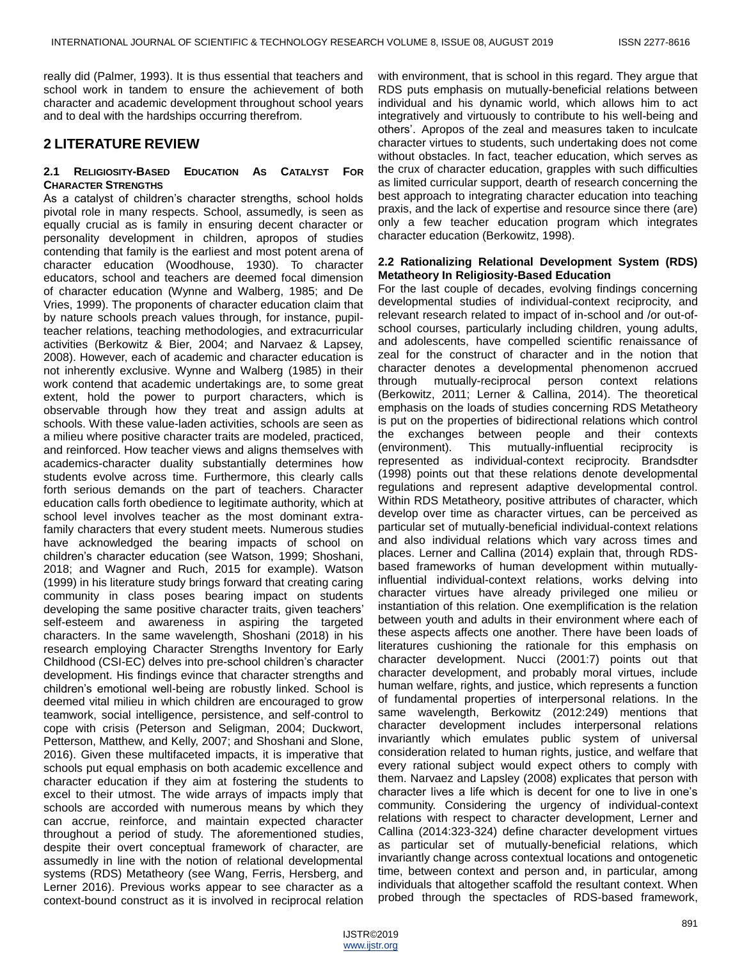really did (Palmer, 1993). It is thus essential that teachers and school work in tandem to ensure the achievement of both character and academic development throughout school years and to deal with the hardships occurring therefrom.

## **2 LITERATURE REVIEW**

#### **2.1 RELIGIOSITY-BASED EDUCATION AS CATALYST FOR CHARACTER STRENGTHS**

As a catalyst of children's character strengths, school holds pivotal role in many respects. School, assumedly, is seen as equally crucial as is family in ensuring decent character or personality development in children, apropos of studies contending that family is the earliest and most potent arena of character education (Woodhouse, 1930). To character educators, school and teachers are deemed focal dimension of character education (Wynne and Walberg, 1985; and De Vries, 1999). The proponents of character education claim that by nature schools preach values through, for instance, pupilteacher relations, teaching methodologies, and extracurricular activities (Berkowitz & Bier, 2004; and Narvaez & Lapsey, 2008). However, each of academic and character education is not inherently exclusive. Wynne and Walberg (1985) in their work contend that academic undertakings are, to some great extent, hold the power to purport characters, which is observable through how they treat and assign adults at schools. With these value-laden activities, schools are seen as a milieu where positive character traits are modeled, practiced, and reinforced. How teacher views and aligns themselves with academics-character duality substantially determines how students evolve across time. Furthermore, this clearly calls forth serious demands on the part of teachers. Character education calls forth obedience to legitimate authority, which at school level involves teacher as the most dominant extrafamily characters that every student meets. Numerous studies have acknowledged the bearing impacts of school on children's character education (see Watson, 1999; Shoshani, 2018; and Wagner and Ruch, 2015 for example). Watson (1999) in his literature study brings forward that creating caring community in class poses bearing impact on students developing the same positive character traits, given teachers' self-esteem and awareness in aspiring the targeted characters. In the same wavelength, Shoshani (2018) in his research employing Character Strengths Inventory for Early Childhood (CSI-EC) delves into pre-school children's character development. His findings evince that character strengths and children's emotional well-being are robustly linked. School is deemed vital milieu in which children are encouraged to grow teamwork, social intelligence, persistence, and self-control to cope with crisis (Peterson and Seligman, 2004; Duckwort, Petterson, Matthew, and Kelly, 2007; and Shoshani and Slone, 2016). Given these multifaceted impacts, it is imperative that schools put equal emphasis on both academic excellence and character education if they aim at fostering the students to excel to their utmost. The wide arrays of impacts imply that schools are accorded with numerous means by which they can accrue, reinforce, and maintain expected character throughout a period of study. The aforementioned studies, despite their overt conceptual framework of character, are assumedly in line with the notion of relational developmental systems (RDS) Metatheory (see Wang, Ferris, Hersberg, and Lerner 2016). Previous works appear to see character as a context-bound construct as it is involved in reciprocal relation

with environment, that is school in this regard. They argue that RDS puts emphasis on mutually-beneficial relations between individual and his dynamic world, which allows him to act integratively and virtuously to contribute to his well-being and others'. Apropos of the zeal and measures taken to inculcate character virtues to students, such undertaking does not come without obstacles. In fact, teacher education, which serves as the crux of character education, grapples with such difficulties as limited curricular support, dearth of research concerning the best approach to integrating character education into teaching praxis, and the lack of expertise and resource since there (are) only a few teacher education program which integrates character education (Berkowitz, 1998).

#### **2.2 Rationalizing Relational Development System (RDS) Metatheory In Religiosity-Based Education**

For the last couple of decades, evolving findings concerning developmental studies of individual-context reciprocity, and relevant research related to impact of in-school and /or out-ofschool courses, particularly including children, young adults, and adolescents, have compelled scientific renaissance of zeal for the construct of character and in the notion that character denotes a developmental phenomenon accrued through mutually-reciprocal person context relations (Berkowitz, 2011; Lerner & Callina, 2014). The theoretical emphasis on the loads of studies concerning RDS Metatheory is put on the properties of bidirectional relations which control the exchanges between people and their contexts (environment). This mutually-influential reciprocity is represented as individual-context reciprocity. Brandsdter (1998) points out that these relations denote developmental regulations and represent adaptive developmental control. Within RDS Metatheory, positive attributes of character, which develop over time as character virtues, can be perceived as particular set of mutually-beneficial individual-context relations and also individual relations which vary across times and places. Lerner and Callina (2014) explain that, through RDSbased frameworks of human development within mutuallyinfluential individual-context relations, works delving into character virtues have already privileged one milieu or instantiation of this relation. One exemplification is the relation between youth and adults in their environment where each of these aspects affects one another. There have been loads of literatures cushioning the rationale for this emphasis on character development. Nucci (2001:7) points out that character development, and probably moral virtues, include human welfare, rights, and justice, which represents a function of fundamental properties of interpersonal relations. In the same wavelength, Berkowitz (2012:249) mentions that character development includes interpersonal relations invariantly which emulates public system of universal consideration related to human rights, justice, and welfare that every rational subject would expect others to comply with them. Narvaez and Lapsley (2008) explicates that person with character lives a life which is decent for one to live in one's community. Considering the urgency of individual-context relations with respect to character development, Lerner and Callina (2014:323-324) define character development virtues as particular set of mutually-beneficial relations, which invariantly change across contextual locations and ontogenetic time, between context and person and, in particular, among individuals that altogether scaffold the resultant context. When probed through the spectacles of RDS-based framework,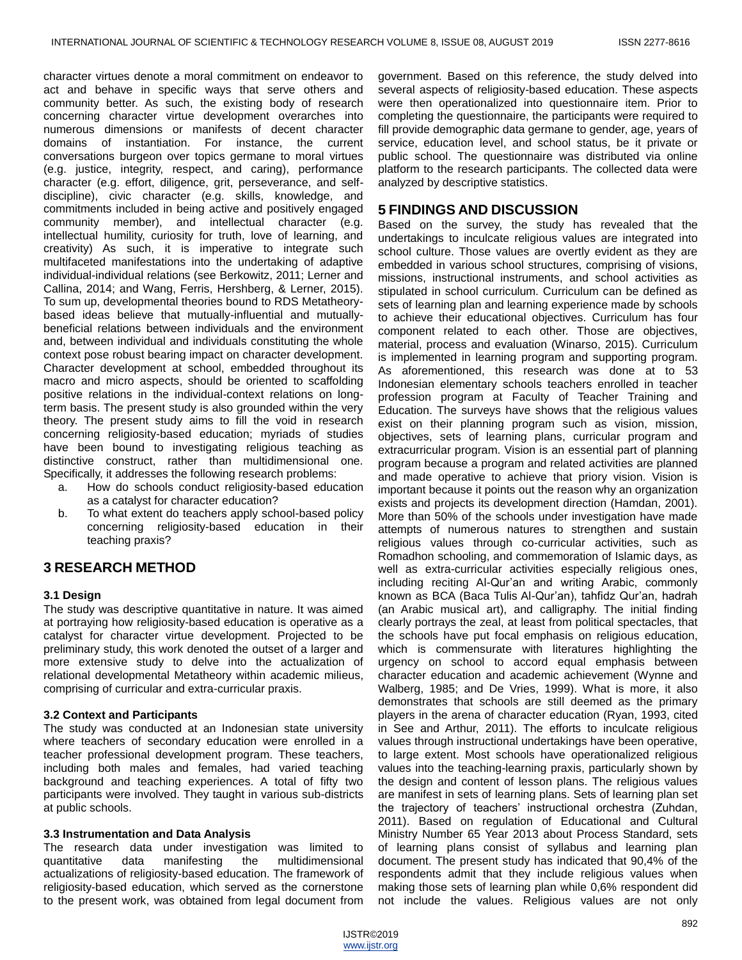character virtues denote a moral commitment on endeavor to act and behave in specific ways that serve others and community better. As such, the existing body of research concerning character virtue development overarches into numerous dimensions or manifests of decent character domains of instantiation. For instance, the current conversations burgeon over topics germane to moral virtues (e.g. justice, integrity, respect, and caring), performance character (e.g. effort, diligence, grit, perseverance, and selfdiscipline), civic character (e.g. skills, knowledge, and commitments included in being active and positively engaged community member), and intellectual character (e.g. intellectual humility, curiosity for truth, love of learning, and creativity) As such, it is imperative to integrate such multifaceted manifestations into the undertaking of adaptive individual-individual relations (see Berkowitz, 2011; Lerner and Callina, 2014; and Wang, Ferris, Hershberg, & Lerner, 2015). To sum up, developmental theories bound to RDS Metatheorybased ideas believe that mutually-influential and mutuallybeneficial relations between individuals and the environment and, between individual and individuals constituting the whole context pose robust bearing impact on character development. Character development at school, embedded throughout its macro and micro aspects, should be oriented to scaffolding positive relations in the individual-context relations on longterm basis. The present study is also grounded within the very theory. The present study aims to fill the void in research concerning religiosity-based education; myriads of studies have been bound to investigating religious teaching as distinctive construct, rather than multidimensional one. Specifically, it addresses the following research problems:

- a. How do schools conduct religiosity-based education as a catalyst for character education?
- b. To what extent do teachers apply school-based policy concerning religiosity-based education in their teaching praxis?

# **3 RESEARCH METHOD**

### **3.1 Design**

The study was descriptive quantitative in nature. It was aimed at portraying how religiosity-based education is operative as a catalyst for character virtue development. Projected to be preliminary study, this work denoted the outset of a larger and more extensive study to delve into the actualization of relational developmental Metatheory within academic milieus, comprising of curricular and extra-curricular praxis.

### **3.2 Context and Participants**

The study was conducted at an Indonesian state university where teachers of secondary education were enrolled in a teacher professional development program. These teachers, including both males and females, had varied teaching background and teaching experiences. A total of fifty two participants were involved. They taught in various sub-districts at public schools.

### **3.3 Instrumentation and Data Analysis**

The research data under investigation was limited to quantitative data manifesting the multidimensional actualizations of religiosity-based education. The framework of religiosity-based education, which served as the cornerstone to the present work, was obtained from legal document from government. Based on this reference, the study delved into several aspects of religiosity-based education. These aspects were then operationalized into questionnaire item. Prior to completing the questionnaire, the participants were required to fill provide demographic data germane to gender, age, years of service, education level, and school status, be it private or public school. The questionnaire was distributed via online platform to the research participants. The collected data were analyzed by descriptive statistics.

## **5 FINDINGS AND DISCUSSION**

Based on the survey, the study has revealed that the undertakings to inculcate religious values are integrated into school culture. Those values are overtly evident as they are embedded in various school structures, comprising of visions, missions, instructional instruments, and school activities as stipulated in school curriculum. Curriculum can be defined as sets of learning plan and learning experience made by schools to achieve their educational objectives. Curriculum has four component related to each other. Those are objectives, material, process and evaluation (Winarso, 2015). Curriculum is implemented in learning program and supporting program. As aforementioned, this research was done at to 53 Indonesian elementary schools teachers enrolled in teacher profession program at Faculty of Teacher Training and Education. The surveys have shows that the religious values exist on their planning program such as vision, mission, objectives, sets of learning plans, curricular program and extracurricular program. Vision is an essential part of planning program because a program and related activities are planned and made operative to achieve that priory vision. Vision is important because it points out the reason why an organization exists and projects its development direction (Hamdan, 2001). More than 50% of the schools under investigation have made attempts of numerous natures to strengthen and sustain religious values through co-curricular activities, such as Romadhon schooling, and commemoration of Islamic days, as well as extra-curricular activities especially religious ones, including reciting Al-Qur'an and writing Arabic, commonly known as BCA (Baca Tulis Al-Qur'an), tahfidz Qur'an, hadrah (an Arabic musical art), and calligraphy. The initial finding clearly portrays the zeal, at least from political spectacles, that the schools have put focal emphasis on religious education, which is commensurate with literatures highlighting the urgency on school to accord equal emphasis between character education and academic achievement (Wynne and Walberg, 1985; and De Vries, 1999). What is more, it also demonstrates that schools are still deemed as the primary players in the arena of character education (Ryan, 1993, cited in See and Arthur, 2011). The efforts to inculcate religious values through instructional undertakings have been operative, to large extent. Most schools have operationalized religious values into the teaching-learning praxis, particularly shown by the design and content of lesson plans. The religious values are manifest in sets of learning plans. Sets of learning plan set the trajectory of teachers' instructional orchestra (Zuhdan, 2011). Based on regulation of Educational and Cultural Ministry Number 65 Year 2013 about Process Standard, sets of learning plans consist of syllabus and learning plan document. The present study has indicated that 90,4% of the respondents admit that they include religious values when making those sets of learning plan while 0,6% respondent did not include the values. Religious values are not only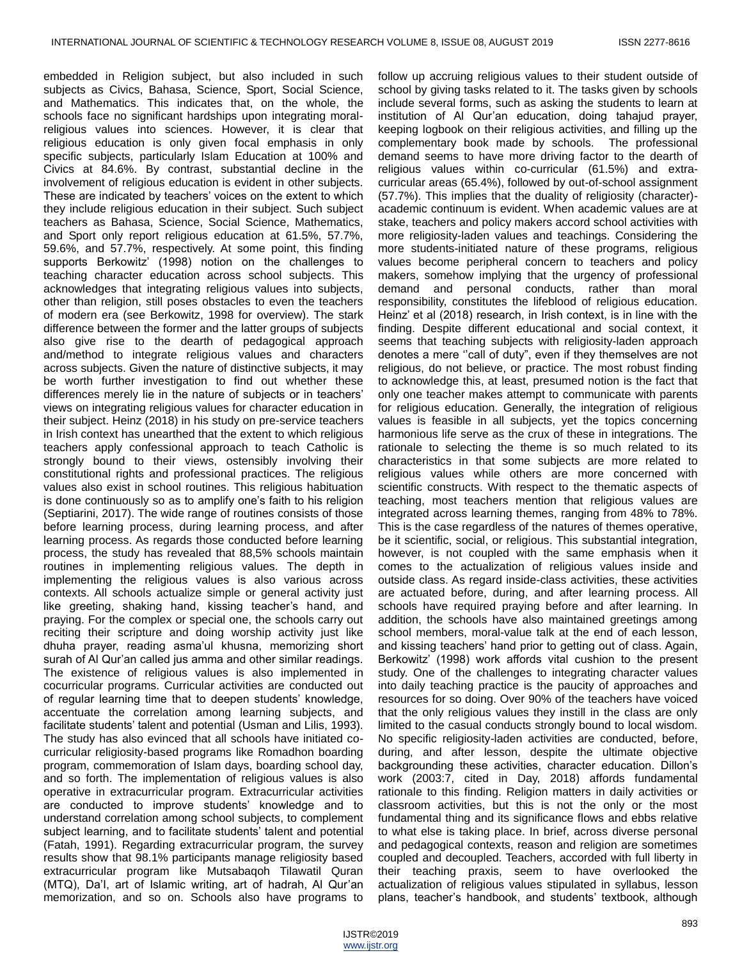embedded in Religion subject, but also included in such subjects as Civics, Bahasa, Science, Sport, Social Science, and Mathematics. This indicates that, on the whole, the schools face no significant hardships upon integrating moralreligious values into sciences. However, it is clear that religious education is only given focal emphasis in only specific subjects, particularly Islam Education at 100% and Civics at 84.6%. By contrast, substantial decline in the involvement of religious education is evident in other subjects. These are indicated by teachers' voices on the extent to which they include religious education in their subject. Such subject teachers as Bahasa, Science, Social Science, Mathematics, and Sport only report religious education at 61.5%, 57.7%, 59.6%, and 57.7%, respectively. At some point, this finding supports Berkowitz' (1998) notion on the challenges to teaching character education across school subjects. This acknowledges that integrating religious values into subjects, other than religion, still poses obstacles to even the teachers of modern era (see Berkowitz, 1998 for overview). The stark difference between the former and the latter groups of subjects also give rise to the dearth of pedagogical approach and/method to integrate religious values and characters across subjects. Given the nature of distinctive subjects, it may be worth further investigation to find out whether these differences merely lie in the nature of subjects or in teachers' views on integrating religious values for character education in their subject. Heinz (2018) in his study on pre-service teachers in Irish context has unearthed that the extent to which religious teachers apply confessional approach to teach Catholic is strongly bound to their views, ostensibly involving their constitutional rights and professional practices. The religious values also exist in school routines. This religious habituation is done continuously so as to amplify one's faith to his religion (Septiarini, 2017). The wide range of routines consists of those before learning process, during learning process, and after learning process. As regards those conducted before learning process, the study has revealed that 88,5% schools maintain routines in implementing religious values. The depth in implementing the religious values is also various across contexts. All schools actualize simple or general activity just like greeting, shaking hand, kissing teacher's hand, and praying. For the complex or special one, the schools carry out reciting their scripture and doing worship activity just like dhuha prayer, reading asma'ul khusna, memorizing short surah of Al Qur'an called jus amma and other similar readings. The existence of religious values is also implemented in cocurricular programs. Curricular activities are conducted out of regular learning time that to deepen students' knowledge, accentuate the correlation among learning subjects, and facilitate students' talent and potential (Usman and Lilis, 1993). The study has also evinced that all schools have initiated cocurricular religiosity-based programs like Romadhon boarding program, commemoration of Islam days, boarding school day, and so forth. The implementation of religious values is also operative in extracurricular program. Extracurricular activities are conducted to improve students' knowledge and to understand correlation among school subjects, to complement subject learning, and to facilitate students' talent and potential (Fatah, 1991). Regarding extracurricular program, the survey results show that 98.1% participants manage religiosity based extracurricular program like Mutsabaqoh Tilawatil Quran (MTQ), Da'I, art of Islamic writing, art of hadrah, Al Qur'an memorization, and so on. Schools also have programs to

follow up accruing religious values to their student outside of school by giving tasks related to it. The tasks given by schools include several forms, such as asking the students to learn at institution of Al Qur'an education, doing tahajud prayer, keeping logbook on their religious activities, and filling up the complementary book made by schools. The professional demand seems to have more driving factor to the dearth of religious values within co-curricular (61.5%) and extracurricular areas (65.4%), followed by out-of-school assignment (57.7%). This implies that the duality of religiosity (character) academic continuum is evident. When academic values are at stake, teachers and policy makers accord school activities with more religiosity-laden values and teachings. Considering the more students-initiated nature of these programs, religious values become peripheral concern to teachers and policy makers, somehow implying that the urgency of professional demand and personal conducts, rather than moral responsibility, constitutes the lifeblood of religious education. Heinz' et al (2018) research, in Irish context, is in line with the finding. Despite different educational and social context, it seems that teaching subjects with religiosity-laden approach denotes a mere "call of duty", even if they themselves are not religious, do not believe, or practice. The most robust finding to acknowledge this, at least, presumed notion is the fact that only one teacher makes attempt to communicate with parents for religious education. Generally, the integration of religious values is feasible in all subjects, yet the topics concerning harmonious life serve as the crux of these in integrations. The rationale to selecting the theme is so much related to its characteristics in that some subjects are more related to religious values while others are more concerned with scientific constructs. With respect to the thematic aspects of teaching, most teachers mention that religious values are integrated across learning themes, ranging from 48% to 78%. This is the case regardless of the natures of themes operative, be it scientific, social, or religious. This substantial integration, however, is not coupled with the same emphasis when it comes to the actualization of religious values inside and outside class. As regard inside-class activities, these activities are actuated before, during, and after learning process. All schools have required praying before and after learning. In addition, the schools have also maintained greetings among school members, moral-value talk at the end of each lesson, and kissing teachers' hand prior to getting out of class. Again, Berkowitz' (1998) work affords vital cushion to the present study. One of the challenges to integrating character values into daily teaching practice is the paucity of approaches and resources for so doing. Over 90% of the teachers have voiced that the only religious values they instill in the class are only limited to the casual conducts strongly bound to local wisdom. No specific religiosity-laden activities are conducted, before, during, and after lesson, despite the ultimate objective backgrounding these activities, character education. Dillon's work (2003:7, cited in Day, 2018) affords fundamental rationale to this finding. Religion matters in daily activities or classroom activities, but this is not the only or the most fundamental thing and its significance flows and ebbs relative to what else is taking place. In brief, across diverse personal and pedagogical contexts, reason and religion are sometimes coupled and decoupled. Teachers, accorded with full liberty in their teaching praxis, seem to have overlooked the actualization of religious values stipulated in syllabus, lesson plans, teacher's handbook, and students' textbook, although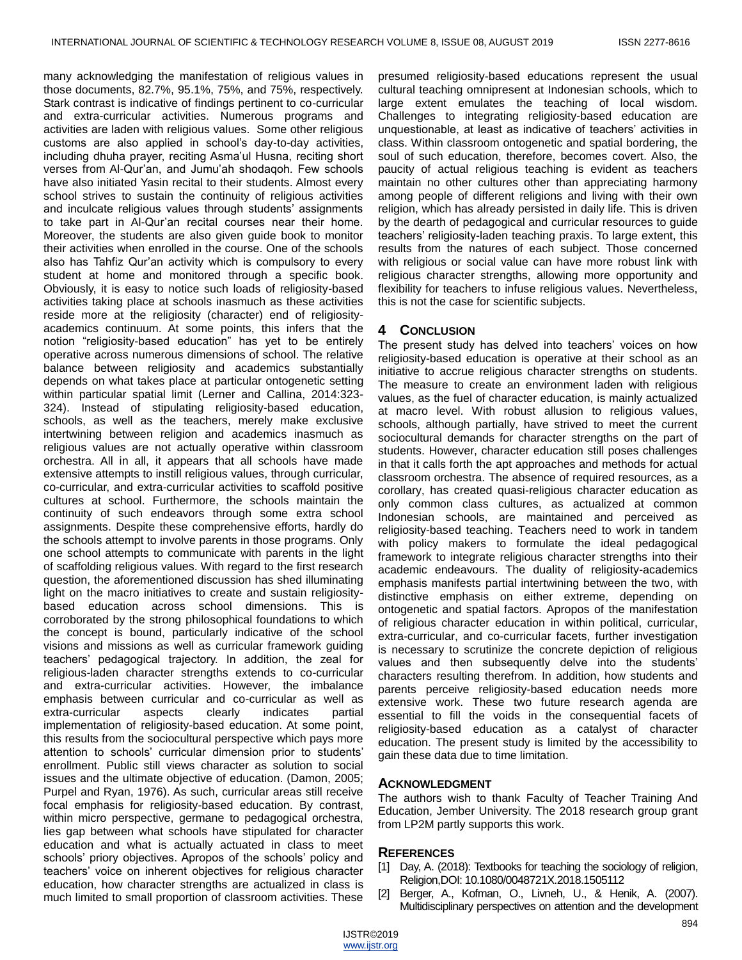many acknowledging the manifestation of religious values in those documents, 82.7%, 95.1%, 75%, and 75%, respectively. Stark contrast is indicative of findings pertinent to co-curricular and extra-curricular activities. Numerous programs and activities are laden with religious values. Some other religious customs are also applied in school's day-to-day activities, including dhuha prayer, reciting Asma'ul Husna, reciting short verses from Al-Qur'an, and Jumu'ah shodaqoh. Few schools have also initiated Yasin recital to their students. Almost every school strives to sustain the continuity of religious activities and inculcate religious values through students' assignments to take part in Al-Qur'an recital courses near their home. Moreover, the students are also given guide book to monitor their activities when enrolled in the course. One of the schools also has Tahfiz Qur'an activity which is compulsory to every student at home and monitored through a specific book. Obviously, it is easy to notice such loads of religiosity-based activities taking place at schools inasmuch as these activities reside more at the religiosity (character) end of religiosityacademics continuum. At some points, this infers that the notion "religiosity-based education" has yet to be entirely operative across numerous dimensions of school. The relative balance between religiosity and academics substantially depends on what takes place at particular ontogenetic setting within particular spatial limit (Lerner and Callina, 2014:323- 324). Instead of stipulating religiosity-based education, schools, as well as the teachers, merely make exclusive intertwining between religion and academics inasmuch as religious values are not actually operative within classroom orchestra. All in all, it appears that all schools have made extensive attempts to instill religious values, through curricular, co-curricular, and extra-curricular activities to scaffold positive cultures at school. Furthermore, the schools maintain the continuity of such endeavors through some extra school assignments. Despite these comprehensive efforts, hardly do the schools attempt to involve parents in those programs. Only one school attempts to communicate with parents in the light of scaffolding religious values. With regard to the first research question, the aforementioned discussion has shed illuminating light on the macro initiatives to create and sustain religiositybased education across school dimensions. This is corroborated by the strong philosophical foundations to which the concept is bound, particularly indicative of the school visions and missions as well as curricular framework guiding teachers' pedagogical trajectory. In addition, the zeal for religious-laden character strengths extends to co-curricular and extra-curricular activities. However, the imbalance emphasis between curricular and co-curricular as well as extra-curricular aspects clearly indicates partial implementation of religiosity-based education. At some point, this results from the sociocultural perspective which pays more attention to schools' curricular dimension prior to students' enrollment. Public still views character as solution to social issues and the ultimate objective of education. (Damon, 2005; Purpel and Ryan, 1976). As such, curricular areas still receive focal emphasis for religiosity-based education. By contrast, within micro perspective, germane to pedagogical orchestra, lies gap between what schools have stipulated for character education and what is actually actuated in class to meet schools' priory objectives. Apropos of the schools' policy and teachers' voice on inherent objectives for religious character education, how character strengths are actualized in class is much limited to small proportion of classroom activities. These

presumed religiosity-based educations represent the usual cultural teaching omnipresent at Indonesian schools, which to large extent emulates the teaching of local wisdom. Challenges to integrating religiosity-based education are unquestionable, at least as indicative of teachers' activities in class. Within classroom ontogenetic and spatial bordering, the soul of such education, therefore, becomes covert. Also, the paucity of actual religious teaching is evident as teachers maintain no other cultures other than appreciating harmony among people of different religions and living with their own religion, which has already persisted in daily life. This is driven by the dearth of pedagogical and curricular resources to guide teachers' religiosity-laden teaching praxis. To large extent, this results from the natures of each subject. Those concerned with religious or social value can have more robust link with religious character strengths, allowing more opportunity and flexibility for teachers to infuse religious values. Nevertheless, this is not the case for scientific subjects.

## **4 CONCLUSION**

The present study has delved into teachers' voices on how religiosity-based education is operative at their school as an initiative to accrue religious character strengths on students. The measure to create an environment laden with religious values, as the fuel of character education, is mainly actualized at macro level. With robust allusion to religious values, schools, although partially, have strived to meet the current sociocultural demands for character strengths on the part of students. However, character education still poses challenges in that it calls forth the apt approaches and methods for actual classroom orchestra. The absence of required resources, as a corollary, has created quasi-religious character education as only common class cultures, as actualized at common Indonesian schools, are maintained and perceived as religiosity-based teaching. Teachers need to work in tandem with policy makers to formulate the ideal pedagogical framework to integrate religious character strengths into their academic endeavours. The duality of religiosity-academics emphasis manifests partial intertwining between the two, with distinctive emphasis on either extreme, depending on ontogenetic and spatial factors. Apropos of the manifestation of religious character education in within political, curricular, extra-curricular, and co-curricular facets, further investigation is necessary to scrutinize the concrete depiction of religious values and then subsequently delve into the students' characters resulting therefrom. In addition, how students and parents perceive religiosity-based education needs more extensive work. These two future research agenda are essential to fill the voids in the consequential facets of religiosity-based education as a catalyst of character education. The present study is limited by the accessibility to gain these data due to time limitation.

## **ACKNOWLEDGMENT**

The authors wish to thank Faculty of Teacher Training And Education, Jember University. The 2018 research group grant from LP2M partly supports this work.

### **REFERENCES**

- [1] Day, A. (2018): Textbooks for teaching the sociology of religion, Religion,DOI: 10.1080/0048721X.2018.1505112
- [2] Berger, A., Kofman, O., Livneh, U., & Henik, A. (2007). Multidisciplinary perspectives on attention and the development